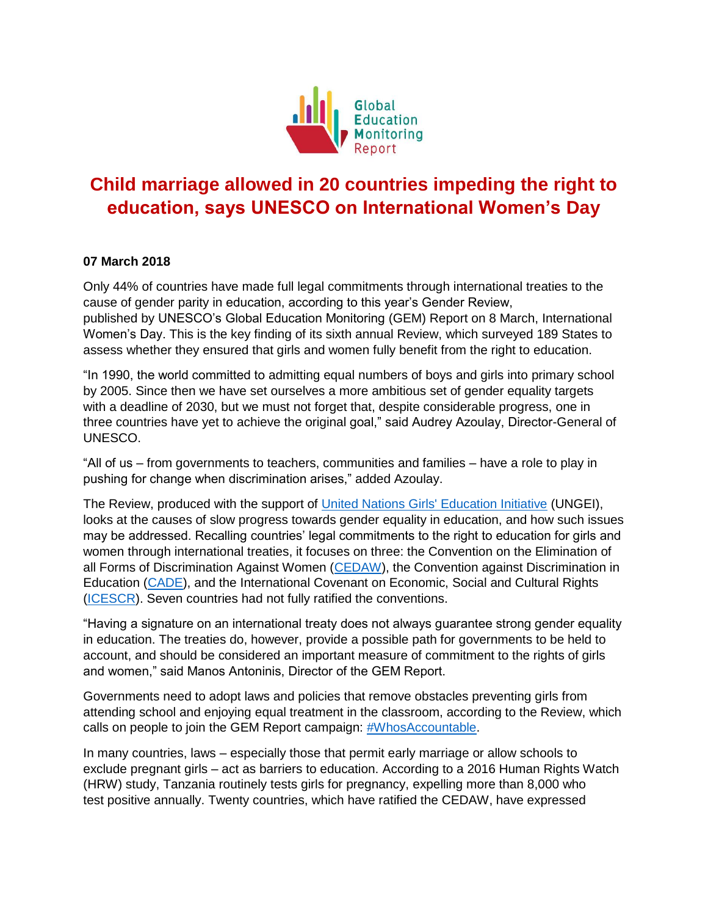

## **Child marriage allowed in 20 countries impeding the right to education, says UNESCO on International Women's Day**

## **07 March 2018**

Only 44% of countries have made full legal commitments through international treaties to the cause of gender parity in education, according to this year's Gender Review, published by UNESCO's Global Education Monitoring (GEM) Report on 8 March, International Women's Day. This is the key finding of its sixth annual Review, which surveyed 189 States to assess whether they ensured that girls and women fully benefit from the right to education.

"In 1990, the world committed to admitting equal numbers of boys and girls into primary school by 2005. Since then we have set ourselves a more ambitious set of gender equality targets with a deadline of 2030, but we must not forget that, despite considerable progress, one in three countries have yet to achieve the original goal," said Audrey Azoulay, Director-General of UNESCO.

"All of us – from governments to teachers, communities and families – have a role to play in pushing for change when discrimination arises," added Azoulay.

The Review, produced with the support of [United Nations Girls' Education Initiative](http://www.ungei.org/) (UNGEI), looks at the causes of slow progress towards gender equality in education, and how such issues may be addressed. Recalling countries' legal commitments to the right to education for girls and women through international treaties, it focuses on three: the Convention on the Elimination of all Forms of Discrimination Against Women [\(CEDAW\)](http://www.ohchr.org/EN/HRBodies/CEDAW/Pages/CEDAWIndex.aspx), the Convention against Discrimination in Education [\(CADE\)](http://portal.unesco.org/en/ev.php-URL_ID=12949&URL_DO=DO_TOPIC&URL_SECTION=201.html), and the International Covenant on Economic, Social and Cultural Rights [\(ICESCR\)](http://www.ohchr.org/EN/ProfessionalInterest/Pages/CESCR.aspx). Seven countries had not fully ratified the conventions.

"Having a signature on an international treaty does not always guarantee strong gender equality in education. The treaties do, however, provide a possible path for governments to be held to account, and should be considered an important measure of commitment to the rights of girls and women," said Manos Antoninis, Director of the GEM Report.

Governments need to adopt laws and policies that remove obstacles preventing girls from attending school and enjoying equal treatment in the classroom, according to the Review, which calls on people to join the GEM Report campaign: [#WhosAccountable.](http://gem-report-2017.unesco.org/en/chapter/youth-report-join-the-campaign/)

In many countries, laws – especially those that permit early marriage or allow schools to exclude pregnant girls – act as barriers to education. According to a 2016 Human Rights Watch (HRW) study, Tanzania routinely tests girls for pregnancy, expelling more than 8,000 who test positive annually. Twenty countries, which have ratified the CEDAW, have expressed